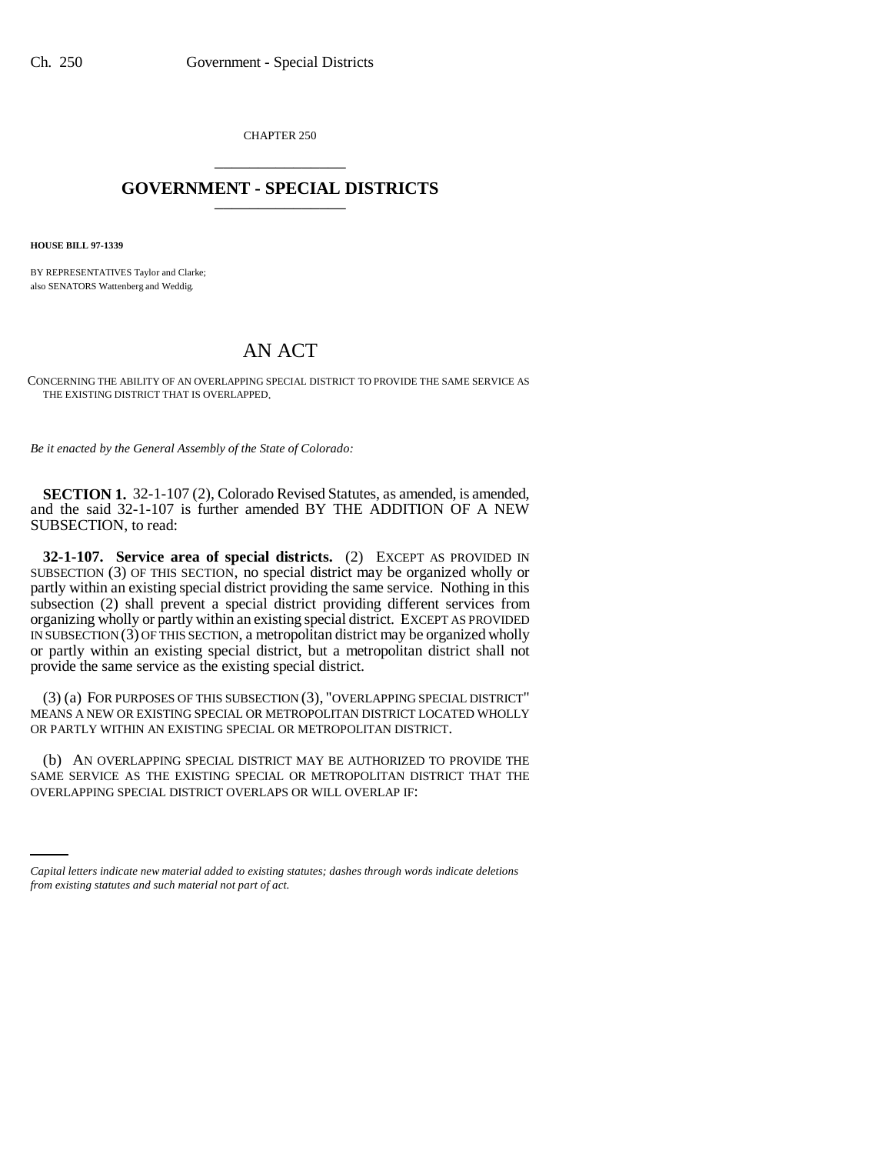CHAPTER 250 \_\_\_\_\_\_\_\_\_\_\_\_\_\_\_

## **GOVERNMENT - SPECIAL DISTRICTS** \_\_\_\_\_\_\_\_\_\_\_\_\_\_\_

**HOUSE BILL 97-1339**

BY REPRESENTATIVES Taylor and Clarke; also SENATORS Wattenberg and Weddig.

## AN ACT

CONCERNING THE ABILITY OF AN OVERLAPPING SPECIAL DISTRICT TO PROVIDE THE SAME SERVICE AS THE EXISTING DISTRICT THAT IS OVERLAPPED.

*Be it enacted by the General Assembly of the State of Colorado:*

**SECTION 1.** 32-1-107 (2), Colorado Revised Statutes, as amended, is amended, and the said 32-1-107 is further amended BY THE ADDITION OF A NEW SUBSECTION, to read:

**32-1-107. Service area of special districts.** (2) EXCEPT AS PROVIDED IN SUBSECTION (3) OF THIS SECTION, no special district may be organized wholly or partly within an existing special district providing the same service. Nothing in this subsection (2) shall prevent a special district providing different services from organizing wholly or partly within an existing special district. EXCEPT AS PROVIDED IN SUBSECTION (3) OF THIS SECTION, a metropolitan district may be organized wholly or partly within an existing special district, but a metropolitan district shall not provide the same service as the existing special district.

(3) (a) FOR PURPOSES OF THIS SUBSECTION (3), "OVERLAPPING SPECIAL DISTRICT" MEANS A NEW OR EXISTING SPECIAL OR METROPOLITAN DISTRICT LOCATED WHOLLY OR PARTLY WITHIN AN EXISTING SPECIAL OR METROPOLITAN DISTRICT.

SAME SERVICE AS THE EXISTING SPECIAL OR METROPOLITAN DISTRICT THAT THE (b) AN OVERLAPPING SPECIAL DISTRICT MAY BE AUTHORIZED TO PROVIDE THE OVERLAPPING SPECIAL DISTRICT OVERLAPS OR WILL OVERLAP IF:

*Capital letters indicate new material added to existing statutes; dashes through words indicate deletions from existing statutes and such material not part of act.*